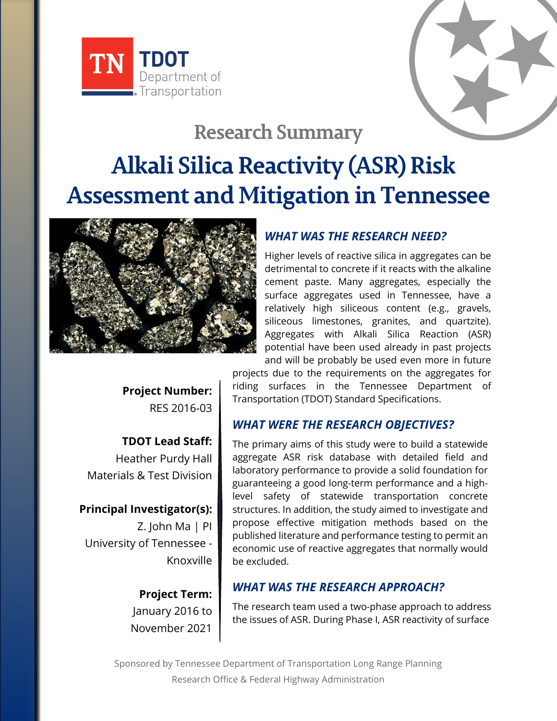



# **Research Summary**

# **Alkali Silica Reactivity (ASR) Risk Assessment and Mitigation in Tennessee**



# *WHAT WAS THE RESEARCH NEED?*

Higher levels of reactive silica in aggregates can be detrimental to concrete if it reacts with the alkaline cement paste. Many aggregates, especially the surface aggregates used in Tennessee, have a relatively high siliceous content (e.g., gravels, siliceous limestones, granites, and quartzite). Aggregates with Alkali Silica Reaction (ASR) potential have been used already in past projects and will be probably be used even more in future

**Project Number:** RES 2016-03

**TDOT Lead Staff:** Heather Purdy Hall Materials & Test Division

**Principal Investigator(s):** Z. John Ma | PI University of Tennessee - Knoxville

> **Project Term:** January 2016 to November 2021

projects due to the requirements on the aggregates for riding surfaces in the Tennessee Department of Transportation (TDOT) Standard Specifications.

## *WHAT WERE THE RESEARCH OBJECTIVES?*

The primary aims of this study were to build a statewide aggregate ASR risk database with detailed field and laboratory performance to provide a solid foundation for guaranteeing a good long-term performance and a highlevel safety of statewide transportation concrete structures. In addition, the study aimed to investigate and propose effective mitigation methods based on the published literature and performance testing to permit an economic use of reactive aggregates that normally would be excluded.

#### *WHAT WAS THE RESEARCH APPROACH?*

The research team used a two-phase approach to address the issues of ASR. During Phase I, ASR reactivity of surface

Sponsored by Tennessee Department of Transportation Long Range Planning Research Office & Federal Highway Administration